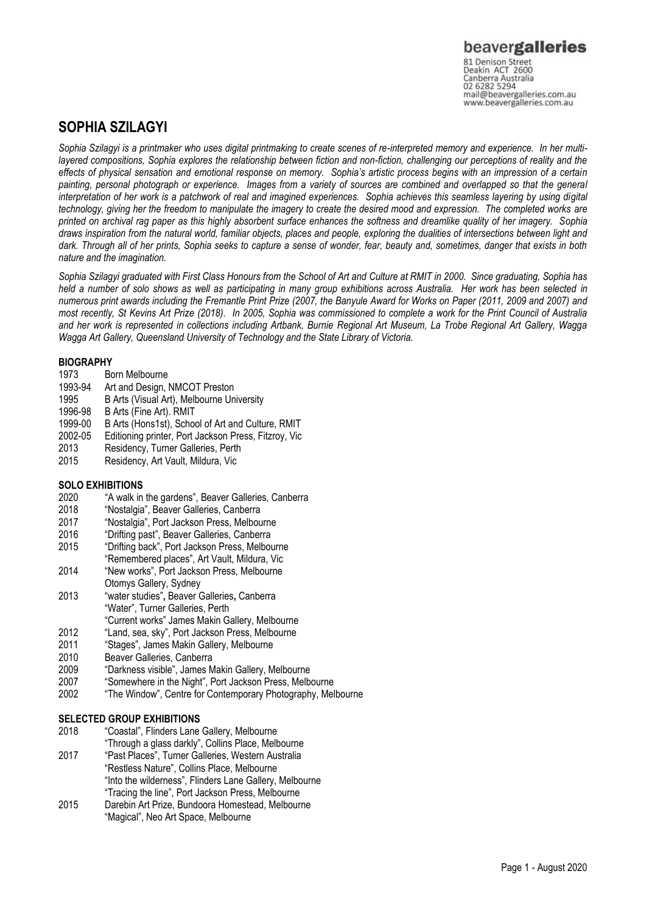81 Denison Street<br>Deakin ACT 2600 Canberra Australia 02 6282 5294 mail@beavergalleries.com.au www.beavergalleries.com.au

# **SOPHIA SZILAGYI**

*Sophia Szilagyi is a printmaker who uses digital printmaking to create scenes of re-interpreted memory and experience. In her multilayered compositions, Sophia explores the relationship between fiction and non-fiction, challenging our perceptions of reality and the effects of physical sensation and emotional response on memory. Sophia's artistic process begins with an impression of a certain painting, personal photograph or experience. Images from a variety of sources are combined and overlapped so that the general interpretation of her work is a patchwork of real and imagined experiences. Sophia achieves this seamless layering by using digital technology, giving her the freedom to manipulate the imagery to create the desired mood and expression. The completed works are printed on archival rag paper as this highly absorbent surface enhances the softness and dreamlike quality of her imagery. Sophia draws inspiration from the natural world, familiar objects, places and people, exploring the dualities of intersections between light and dark. Through all of her prints, Sophia seeks to capture a sense of wonder, fear, beauty and, sometimes, danger that exists in both nature and the imagination.* 

*Sophia Szilagyi graduated with First Class Honours from the School of Art and Culture at RMIT in 2000. Since graduating, Sophia has held a number of solo shows as well as participating in many group exhibitions across Australia. Her work has been selected in numerous print awards including the Fremantle Print Prize (2007, the Banyule Award for Works on Paper (2011, 2009 and 2007) and most recently, St Kevins Art Prize (2018). In 2005, Sophia was commissioned to complete a work for the Print Council of Australia and her work is represented in collections including Artbank, Burnie Regional Art Museum, La Trobe Regional Art Gallery, Wagga Wagga Art Gallery, Queensland University of Technology and the State Library of Victoria.*

- **BIOGRAPHY**<br>1973 Bo Born Melbourne
- 1993-94 Art and Design, NMCOT Preston
- 1995 B Arts (Visual Art), Melbourne University
- 1996-98 B Arts (Fine Art). RMIT<br>1999-00 B Arts (Hons1st). Schoo
- 1999-00 B Arts (Hons1st), School of Art and Culture, RMIT
- 2002-05 Editioning printer, Port Jackson Press, Fitzroy, Vic
- 2013 Residency, Turner Galleries, Perth
- Residency, Art Vault, Mildura, Vic

### **SOLO EXHIBITIONS**

- 2020 "A walk in the gardens", Beaver Galleries, Canberra
- 2018 "Nostalgia", Beaver Galleries, Canberra
- 2017 "Nostalgia", Port Jackson Press, Melbourne
- 2016 "Drifting past", Beaver Galleries, Canberra
- "Drifting back", Port Jackson Press, Melbourne
- "Remembered places", Art Vault, Mildura, Vic 2014 "New works", Port Jackson Press, Melbourne
- Otomys Gallery, Sydney 2013 "water studies"**,** Beaver Galleries**,** Canberra "Water", Turner Galleries, Perth
	- "Current works" James Makin Gallery, Melbourne
- 2012 "Land, sea, sky", Port Jackson Press, Melbourne
- 2011 "Stages", James Makin Gallery, Melbourne
- 2010 Beaver Galleries, Canberra
- 2009 "Darkness visible", James Makin Gallery, Melbourne
- "Somewhere in the Night", Port Jackson Press, Melbourne
- 2002 "The Window", Centre for Contemporary Photography, Melbourne

# **SELECTED GROUP EXHIBITIONS**

- 2018 "Coastal", Flinders Lane Gallery, Melbourne
- "Through a glass darkly", Collins Place, Melbourne 2017 "Past Places", Turner Galleries, Western Australia "Restless Nature", Collins Place, Melbourne "Into the wilderness", Flinders Lane Gallery, Melbourne
	- "Tracing the line", Port Jackson Press, Melbourne
- 2015 Darebin Art Prize, Bundoora Homestead, Melbourne "Magical", Neo Art Space, Melbourne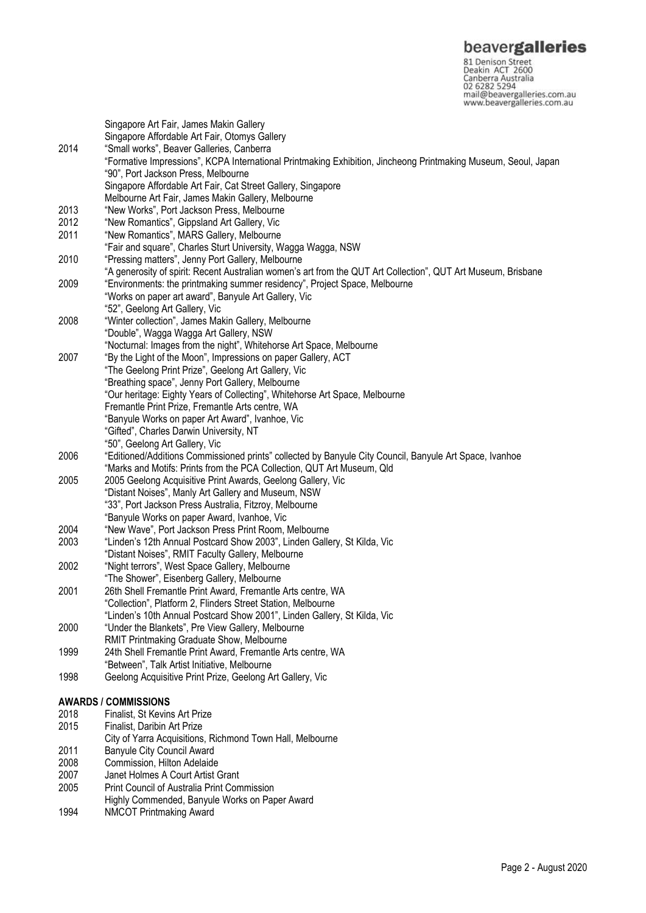**beavergalleries**<br> **81 Denison Street**<br>
Deakin ACT 2600<br>
Canberra Australia<br>
02 6282 5294<br>
mail@beavergalleries.com.au<br>
www.beavergalleries.com.au

|      | Singapore Art Fair, James Makin Gallery                                                                              |
|------|----------------------------------------------------------------------------------------------------------------------|
|      | Singapore Affordable Art Fair, Otomys Gallery                                                                        |
| 2014 | "Small works", Beaver Galleries, Canberra                                                                            |
|      | "Formative Impressions", KCPA International Printmaking Exhibition, Jincheong Printmaking Museum, Seoul, Japan       |
|      | "90", Port Jackson Press, Melbourne                                                                                  |
|      | Singapore Affordable Art Fair, Cat Street Gallery, Singapore                                                         |
|      | Melbourne Art Fair, James Makin Gallery, Melbourne                                                                   |
| 2013 | "New Works", Port Jackson Press, Melbourne                                                                           |
| 2012 | "New Romantics", Gippsland Art Gallery, Vic                                                                          |
| 2011 | "New Romantics", MARS Gallery, Melbourne                                                                             |
|      | "Fair and square", Charles Sturt University, Wagga Wagga, NSW                                                        |
| 2010 | "Pressing matters", Jenny Port Gallery, Melbourne                                                                    |
|      | "A generosity of spirit: Recent Australian women's art from the QUT Art Collection", QUT Art Museum, Brisbane        |
| 2009 | "Environments: the printmaking summer residency", Project Space, Melbourne                                           |
|      | "Works on paper art award", Banyule Art Gallery, Vic                                                                 |
|      | "52", Geelong Art Gallery, Vic                                                                                       |
| 2008 | "Winter collection", James Makin Gallery, Melbourne                                                                  |
|      | "Double", Wagga Wagga Art Gallery, NSW<br>"Nocturnal: Images from the night", Whitehorse Art Space, Melbourne        |
| 2007 |                                                                                                                      |
|      | "By the Light of the Moon", Impressions on paper Gallery, ACT<br>"The Geelong Print Prize", Geelong Art Gallery, Vic |
|      | "Breathing space", Jenny Port Gallery, Melbourne                                                                     |
|      | "Our heritage: Eighty Years of Collecting", Whitehorse Art Space, Melbourne                                          |
|      | Fremantle Print Prize, Fremantle Arts centre, WA                                                                     |
|      | "Banyule Works on paper Art Award", Ivanhoe, Vic                                                                     |
|      | "Gifted", Charles Darwin University, NT                                                                              |
|      | "50", Geelong Art Gallery, Vic                                                                                       |
| 2006 | "Editioned/Additions Commissioned prints" collected by Banyule City Council, Banyule Art Space, Ivanhoe              |
|      | "Marks and Motifs: Prints from the PCA Collection, QUT Art Museum, Qld                                               |
| 2005 | 2005 Geelong Acquisitive Print Awards, Geelong Gallery, Vic                                                          |
|      | "Distant Noises", Manly Art Gallery and Museum, NSW                                                                  |
|      | "33", Port Jackson Press Australia, Fitzroy, Melbourne                                                               |
|      | "Banyule Works on paper Award, Ivanhoe, Vic                                                                          |
| 2004 | "New Wave", Port Jackson Press Print Room, Melbourne                                                                 |
| 2003 | "Linden's 12th Annual Postcard Show 2003", Linden Gallery, St Kilda, Vic                                             |
|      | "Distant Noises", RMIT Faculty Gallery, Melbourne                                                                    |
| 2002 | "Night terrors", West Space Gallery, Melbourne                                                                       |
|      | "The Shower", Eisenberg Gallery, Melbourne                                                                           |
| 2001 | 26th Shell Fremantle Print Award, Fremantle Arts centre, WA                                                          |
|      | "Collection", Platform 2, Flinders Street Station, Melbourne                                                         |
|      | "Linden's 10th Annual Postcard Show 2001", Linden Gallery, St Kilda, Vic                                             |
| 2000 | "Under the Blankets", Pre View Gallery, Melbourne                                                                    |
|      | RMIT Printmaking Graduate Show, Melbourne                                                                            |
| 1999 | 24th Shell Fremantle Print Award, Fremantle Arts centre, WA                                                          |
|      | "Between", Talk Artist Initiative, Melbourne                                                                         |
| 1998 | Geelong Acquisitive Print Prize, Geelong Art Gallery, Vic                                                            |
|      |                                                                                                                      |
|      | <b>AWARDS / COMMISSIONS</b>                                                                                          |
| 2018 | Finalist, St Kevins Art Prize                                                                                        |
| 2015 | Finalist, Daribin Art Prize                                                                                          |
|      | City of Yarra Acquisitions, Richmond Town Hall, Melbourne                                                            |
| 2011 | <b>Banyule City Council Award</b>                                                                                    |
| 2008 | Commission, Hilton Adelaide                                                                                          |
| 2007 | Janet Holmes A Court Artist Grant                                                                                    |
| 2005 | Print Council of Australia Print Commission                                                                          |
|      | Highly Commended, Banyule Works on Paper Award                                                                       |

1994 NMCOT Printmaking Award